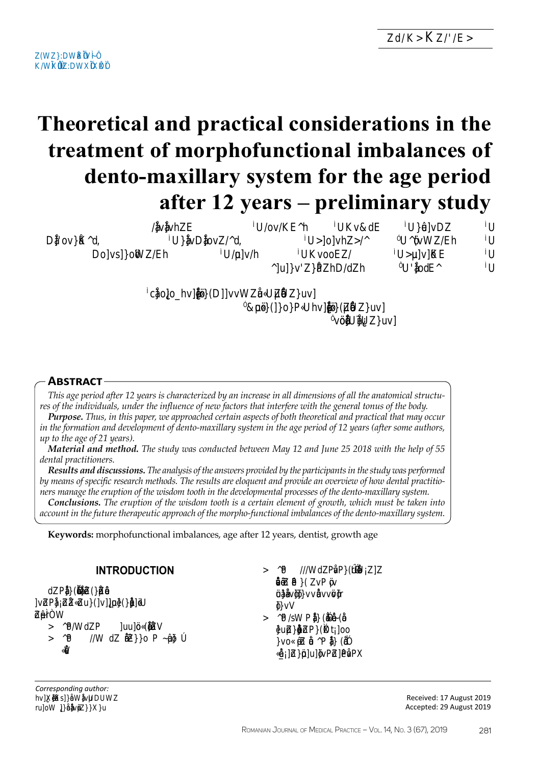**D**<sub>D</sub> **D**<sub>D</sub>

# Theoretical and practical considerations in the treatment of morphofunctional imbalances of dento-maxillary system for the age period after 12 years – preliminary study

|                         |      | $h\Box$                        | -on           | ₩                | $\mathbf{u}$            | 70        |
|-------------------------|------|--------------------------------|---------------|------------------|-------------------------|-----------|
| $\overline{\text{odd}}$ |      | $-0$ q $\Box$                  |               | $-$ oh $\square$ | -h                      | −<br>$-1$ |
|                         | osoh |                                | $-$ oh $\Box$ | 90 <sub>1</sub>  | $\mathbf{u}$            | 70        |
|                         |      |                                | <b>uhdh</b>   |                  | $\overline{\text{odd}}$ | 40        |
|                         |      | $-\epsilon$ oohtuu $-\epsilon$ | -bohtil       | $ \sigma$        |                         |           |

# **ABSTRACT**

This age period after 12 years is characterized by an increase in all dimensions of all the anatomical structures of the individuals, under the influence of new factors that interfere with the general tonus of the body.

**Purpose.** Thus, in this paper, we approached certain aspects of both theoretical and practical that may occur in the formation and development of dento-maxillary system in the age period of 12 years (after some authors, up to the age of 21 years).

Material and method. The study was conducted between May 12 and June 25 2018 with the help of 55 dental practitioners.

Results and discussions. The analysis of the answers provided by the participants in the study was performed by means of specific research methods. The results are eloquent and provide an overview of how dental practitioners manage the eruption of the wisdom tooth in the developmental processes of the dento-maxillary system.

**Conclusions.** The eruption of the wisdom tooth is a certain element of growth, which must be taken into account in the future therapeutic approach of the morpho-functional imbalances of the dento-maxillary system.

**Keywords:** morphofunctional imbalances, age after 12 years, dentist, growth age

| <b>PPUN</b>     |  |
|-----------------|--|
| <b>TRITRITT</b> |  |
|                 |  |
|                 |  |
| <b>PIRITUAL</b> |  |
|                 |  |
| TITPITTITTI     |  |
|                 |  |
|                 |  |

Artide History: Received: 17 August 2019 Accepted: 29 August 2019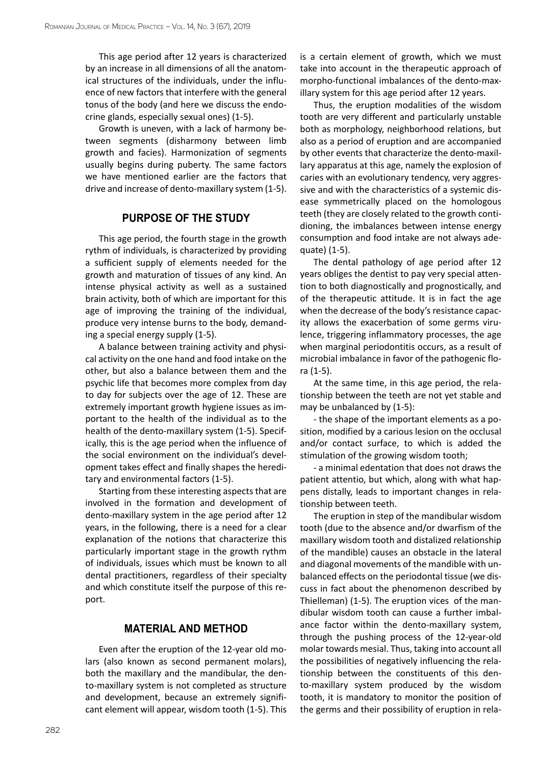This age period after 12 years is characterized by an increase in all dimensions of all the anatomical structures of the individuals, under the influence of new factors that interfere with the general tonus of the body (and here we discuss the endocrine glands, especially sexual ones) (1-5).

Growth is uneven, with a lack of harmony between segments (disharmony between limb growth and facies). Harmonization of segments usually begins during puberty. The same factors we have mentioned earlier are the factors that drive and increase of dento-maxillary system (1-5).

## **Purpose of the study**

This age period, the fourth stage in the growth rythm of individuals, is characterized by providing a sufficient supply of elements needed for the growth and maturation of tissues of any kind. An intense physical activity as well as a sustained brain activity, both of which are important for this age of improving the training of the individual, produce very intense burns to the body, demanding a special energy supply (1-5).

A balance between training activity and physical activity on the one hand and food intake on the other, but also a balance between them and the psychic life that becomes more complex from day to day for subjects over the age of 12. These are extremely important growth hygiene issues as important to the health of the individual as to the health of the dento-maxillary system (1-5). Specifically, this is the age period when the influence of the social environment on the individual's development takes effect and finally shapes the hereditary and environmental factors (1-5).

Starting from these interesting aspects that are involved in the formation and development of dento-maxillary system in the age period after 12 years, in the following, there is a need for a clear explanation of the notions that characterize this particularly important stage in the growth rythm of individuals, issues which must be known to all dental practitioners, regardless of their specialty and which constitute itself the purpose of this report.

# **Material and method**

Even after the eruption of the 12-year old molars (also known as second permanent molars), both the maxillary and the mandibular, the dento-maxillary system is not completed as structure and development, because an extremely significant element will appear, wisdom tooth (1-5). This

is a certain element of growth, which we must take into account in the therapeutic approach of morpho-functional imbalances of the dento-maxillary system for this age period after 12 years.

Thus, the eruption modalities of the wisdom tooth are very different and particularly unstable both as morphology, neighborhood relations, but also as a period of eruption and are accompanied by other events that characterize the dento-maxillary apparatus at this age, namely the explosion of caries with an evolutionary tendency, very aggressive and with the characteristics of a systemic disease symmetrically placed on the homologous teeth (they are closely related to the growth contidioning, the imbalances between intense energy consumption and food intake are not always adequate) (1-5).

The dental pathology of age period after 12 years obliges the dentist to pay very special attention to both diagnostically and prognostically, and of the therapeutic attitude. It is in fact the age when the decrease of the body's resistance capacity allows the exacerbation of some germs virulence, triggering inflammatory processes, the age when marginal periodontitis occurs, as a result of microbial imbalance in favor of the pathogenic flora (1-5).

At the same time, in this age period, the relationship between the teeth are not yet stable and may be unbalanced by (1-5):

- the shape of the important elements as a position, modified by a carious lesion on the occlusal and/or contact surface, to which is added the stimulation of the growing wisdom tooth;

- a minimal edentation that does not draws the patient attentio, but which, along with what happens distally, leads to important changes in relationship between teeth.

The eruption in step of the mandibular wisdom tooth (due to the absence and/or dwarfism of the maxillary wisdom tooth and distalized relationship of the mandible) causes an obstacle in the lateral and diagonal movements of the mandible with unbalanced effects on the periodontal tissue (we discuss in fact about the phenomenon described by Thielleman) (1-5). The eruption vices of the mandibular wisdom tooth can cause a further imbalance factor within the dento-maxillary system, through the pushing process of the 12-year-old molar towards mesial. Thus, taking into account all the possibilities of negatively influencing the relationship between the constituents of this dento-maxillary system produced by the wisdom tooth, it is mandatory to monitor the position of the germs and their possibility of eruption in rela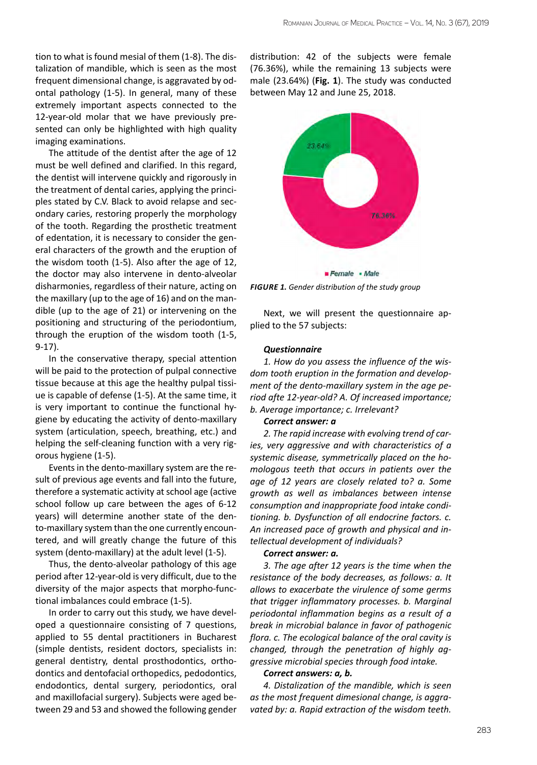tion to what is found mesial of them (1-8). The distalization of mandible, which is seen as the most frequent dimensional change, is aggravated by odontal pathology (1-5). In general, many of these extremely important aspects connected to the 12-year-old molar that we have previously presented can only be highlighted with high quality imaging examinations.

The attitude of the dentist after the age of 12 must be well defined and clarified. In this regard, the dentist will intervene quickly and rigorously in the treatment of dental caries, applying the principles stated by C.V. Black to avoid relapse and secondary caries, restoring properly the morphology of the tooth. Regarding the prosthetic treatment of edentation, it is necessary to consider the general characters of the growth and the eruption of the wisdom tooth (1-5). Also after the age of 12, the doctor may also intervene in dento-alveolar disharmonies, regardless of their nature, acting on the maxillary (up to the age of 16) and on the mandible (up to the age of 21) or intervening on the positioning and structuring of the periodontium, through the eruption of the wisdom tooth (1-5, 9-17).

In the conservative therapy, special attention will be paid to the protection of pulpal connective tissue because at this age the healthy pulpal tissiue is capable of defense (1-5). At the same time, it is very important to continue the functional hygiene by educating the activity of dento-maxillary system (articulation, speech, breathing, etc.) and helping the self-cleaning function with a very rigorous hygiene (1-5).

Events in the dento-maxillary system are the result of previous age events and fall into the future, therefore a systematic activity at school age (active school follow up care between the ages of 6-12 years) will determine another state of the dento-maxillary system than the one currently encountered, and will greatly change the future of this system (dento-maxillary) at the adult level (1-5).

Thus, the dento-alveolar pathology of this age period after 12-year-old is very difficult, due to the diversity of the major aspects that morpho-functional imbalances could embrace (1-5).

In order to carry out this study, we have developed a questionnaire consisting of 7 questions, applied to 55 dental practitioners in Bucharest (simple dentists, resident doctors, specialists in: general dentistry, dental prosthodontics, orthodontics and dentofacial orthopedics, pedodontics, endodontics, dental surgery, periodontics, oral and maxillofacial surgery). Subjects were aged between 29 and 53 and showed the following gender distribution: 42 of the subjects were female (76.36%), while the remaining 13 subjects were male (23.64%) (**Fig. 1**). The study was conducted between May 12 and June 25, 2018.



*FIGURE 1. Gender distribution of the study group*

Next, we will present the questionnaire applied to the 57 subjects:

#### *Questionnaire*

*1. How do you assess the influence of the wisdom tooth eruption in the formation and development of the dento-maxillary system in the age period afte 12-year-old? A. Of increased importance; b. Average importance; c. Irrelevant?*

#### *Correct answer: a*

*2. The rapid increase with evolving trend of caries, very aggressive and with characteristics of a systemic disease, symmetrically placed on the homologous teeth that occurs in patients over the age of 12 years are closely related to? a. Some growth as well as imbalances between intense consumption and inappropriate food intake conditioning. b. Dysfunction of all endocrine factors. c. An increased pace of growth and physical and intellectual development of individuals?* 

#### *Correct answer: a.*

*3. The age after 12 years is the time when the resistance of the body decreases, as follows: a. It allows to exacerbate the virulence of some germs that trigger inflammatory processes. b. Marginal periodontal inflammation begins as a result of a break in microbial balance in favor of pathogenic flora. c. The ecological balance of the oral cavity is changed, through the penetration of highly aggressive microbial species through food intake.*

#### *Correct answers: a, b.*

*4. Distalization of the mandible, which is seen as the most frequent dimesional change, is aggravated by: a. Rapid extraction of the wisdom teeth.*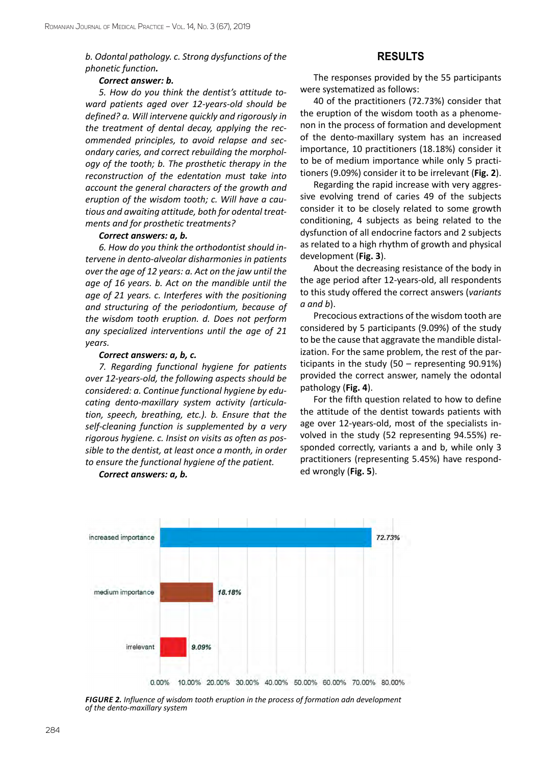*b. Odontal pathology. c. Strong dysfunctions of the phonetic function.*

#### *Correct answer: b.*

*5. How do you think the dentist's attitude toward patients aged over 12-years-old should be defined? a. Will intervene quickly and rigorously in the treatment of dental decay, applying the recommended principles, to avoid relapse and secondary caries, and correct rebuilding the morphology of the tooth; b. The prosthetic therapy in the reconstruction of the edentation must take into account the general characters of the growth and eruption of the wisdom tooth; c. Will have a cautious and awaiting attitude, both for odental treatments and for prosthetic treatments?*

#### *Correct answers: a, b.*

*6. How do you think the orthodontist should intervene in dento-alveolar disharmonies in patients over the age of 12 years: a. Act on the jaw until the age of 16 years. b. Act on the mandible until the age of 21 years. c. Interferes with the positioning and structuring of the periodontium, because of the wisdom tooth eruption. d. Does not perform any specialized interventions until the age of 21 years.* 

#### *Correct answers: a, b, c.*

*7. Regarding functional hygiene for patients over 12-years-old, the following aspects should be considered: a. Continue functional hygiene by educating dento-maxillary system activity (articulation, speech, breathing, etc.). b. Ensure that the self-cleaning function is supplemented by a very rigorous hygiene. c. Insist on visits as often as possible to the dentist, at least once a month, in order to ensure the functional hygiene of the patient.* 

*Correct answers: a, b.*

# **Results**

The responses provided by the 55 participants were systematized as follows:

40 of the practitioners (72.73%) consider that the eruption of the wisdom tooth as a phenomenon in the process of formation and development of the dento-maxillary system has an increased importance, 10 practitioners (18.18%) consider it to be of medium importance while only 5 practitioners (9.09%) consider it to be irrelevant (**Fig. 2**).

Regarding the rapid increase with very aggressive evolving trend of caries 49 of the subjects consider it to be closely related to some growth conditioning, 4 subjects as being related to the dysfunction of all endocrine factors and 2 subjects as related to a high rhythm of growth and physical development (**Fig. 3**).

About the decreasing resistance of the body in the age period after 12-years-old, all respondents to this study offered the correct answers (*variants a and b*).

Precocious extractions of the wisdom tooth are considered by 5 participants (9.09%) of the study to be the cause that aggravate the mandible distalization. For the same problem, the rest of the participants in the study (50 – representing 90.91%) provided the correct answer, namely the odontal pathology (**Fig. 4**).

For the fifth question related to how to define the attitude of the dentist towards patients with age over 12-years-old, most of the specialists involved in the study (52 representing 94.55%) responded correctly, variants a and b, while only 3 practitioners (representing 5.45%) have responded wrongly (**Fig. 5**).



*FIGURE 2. Influence of wisdom tooth eruption in the process of formation adn development of the dento-maxillary system*

284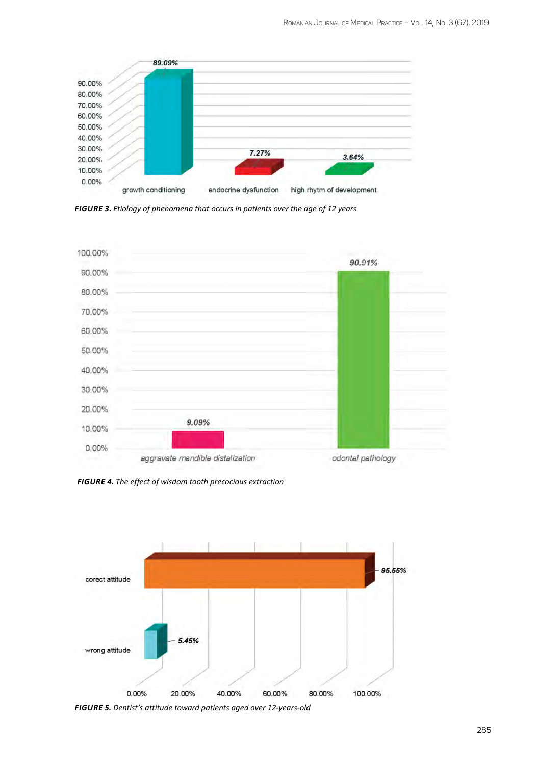

FIGURE 3. Etiology of phenomena that occurs in patients over the age of 12 years



FIGURE 4. The effect of wisdom tooth precocious extraction



FIGURE 5. Dentist's attitude toward patients aged over 12-years-old